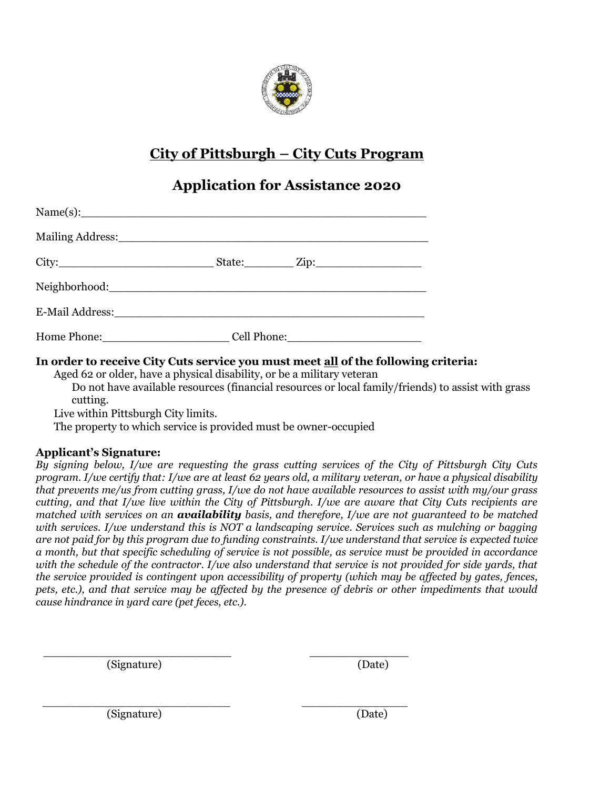

# **City of Pittsburgh – City Cuts Program**

# **Application for Assistance 2020**

| $Name(s):$ $\qquad \qquad$                                                                                                                                                                                                     |             |
|--------------------------------------------------------------------------------------------------------------------------------------------------------------------------------------------------------------------------------|-------------|
|                                                                                                                                                                                                                                |             |
|                                                                                                                                                                                                                                |             |
|                                                                                                                                                                                                                                |             |
|                                                                                                                                                                                                                                |             |
| Home Phone: Management of the Phone State of the State of the State of the State of the State of the State of the State of the State of the State of the State of the State of the State of the State of the State of the Stat | Cell Phone: |

### **In order to receive City Cuts service you must meet all of the following criteria:**

Aged 62 or older, have a physical disability, or be a military veteran

Do not have available resources (financial resources or local family/friends) to assist with grass cutting.

Live within Pittsburgh City limits.

The property to which service is provided must be owner-occupied

*\_\_\_\_\_\_\_\_\_\_\_\_\_\_\_\_\_\_\_\_\_\_\_\_\_\_\_ \_\_\_\_\_\_\_\_\_\_\_\_\_\_\_*

#### **Applicant's Signature:**

*By signing below, I/we are requesting the grass cutting services of the City of Pittsburgh City Cuts program. I/we certify that: I/we are at least 62 years old, a military veteran, or have a physical disability that prevents me/us from cutting grass, I/we do not have available resources to assist with my/our grass cutting, and that I/we live within the City of Pittsburgh. I/we are aware that City Cuts recipients are matched with services on an availability basis, and therefore, I/we are not guaranteed to be matched with services. I/we understand this is NOT a landscaping service. Services such as mulching or bagging are not paid for by this program due to funding constraints. I/we understand that service is expected twice a month, but that specific scheduling of service is not possible, as service must be provided in accordance*  with the schedule of the contractor. I/we also understand that service is not provided for side yards, that *the service provided is contingent upon accessibility of property (which may be affected by gates, fences, pets, etc.), and that service may be affected by the presence of debris or other impediments that would cause hindrance in yard care (pet feces, etc.).*

\_\_\_\_\_\_\_\_\_\_\_\_\_\_\_\_\_\_\_\_\_\_\_\_\_\_\_ \_\_\_\_\_\_\_\_\_\_\_\_\_\_ (Signature) (Date)

(Signature) (Date)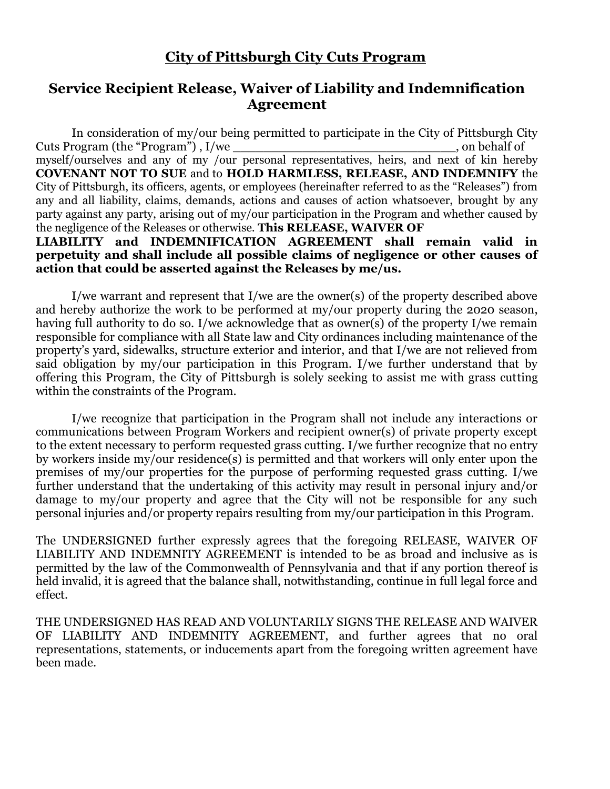## **City of Pittsburgh City Cuts Program**

## **Service Recipient Release, Waiver of Liability and Indemnification Agreement**

In consideration of my/our being permitted to participate in the City of Pittsburgh City Cuts Program (the "Program") , I/we \_\_\_\_\_\_\_\_\_\_\_\_\_\_\_\_\_\_\_\_\_\_\_\_\_\_\_\_\_, on behalf of myself/ourselves and any of my /our personal representatives, heirs, and next of kin hereby **COVENANT NOT TO SUE** and to **HOLD HARMLESS, RELEASE, AND INDEMNIFY** the City of Pittsburgh, its officers, agents, or employees (hereinafter referred to as the "Releases") from any and all liability, claims, demands, actions and causes of action whatsoever, brought by any party against any party, arising out of my/our participation in the Program and whether caused by the negligence of the Releases or otherwise. **This RELEASE, WAIVER OF**

**LIABILITY and INDEMNIFICATION AGREEMENT shall remain valid in perpetuity and shall include all possible claims of negligence or other causes of action that could be asserted against the Releases by me/us.**

I/we warrant and represent that I/we are the owner(s) of the property described above and hereby authorize the work to be performed at my/our property during the 2020 season, having full authority to do so. I/we acknowledge that as owner(s) of the property I/we remain responsible for compliance with all State law and City ordinances including maintenance of the property's yard, sidewalks, structure exterior and interior, and that I/we are not relieved from said obligation by my/our participation in this Program. I/we further understand that by offering this Program, the City of Pittsburgh is solely seeking to assist me with grass cutting within the constraints of the Program.

I/we recognize that participation in the Program shall not include any interactions or communications between Program Workers and recipient owner(s) of private property except to the extent necessary to perform requested grass cutting. I/we further recognize that no entry by workers inside my/our residence(s) is permitted and that workers will only enter upon the premises of my/our properties for the purpose of performing requested grass cutting. I/we further understand that the undertaking of this activity may result in personal injury and/or damage to my/our property and agree that the City will not be responsible for any such personal injuries and/or property repairs resulting from my/our participation in this Program.

The UNDERSIGNED further expressly agrees that the foregoing RELEASE, WAIVER OF LIABILITY AND INDEMNITY AGREEMENT is intended to be as broad and inclusive as is permitted by the law of the Commonwealth of Pennsylvania and that if any portion thereof is held invalid, it is agreed that the balance shall, notwithstanding, continue in full legal force and effect.

THE UNDERSIGNED HAS READ AND VOLUNTARILY SIGNS THE RELEASE AND WAIVER OF LIABILITY AND INDEMNITY AGREEMENT, and further agrees that no oral representations, statements, or inducements apart from the foregoing written agreement have been made.